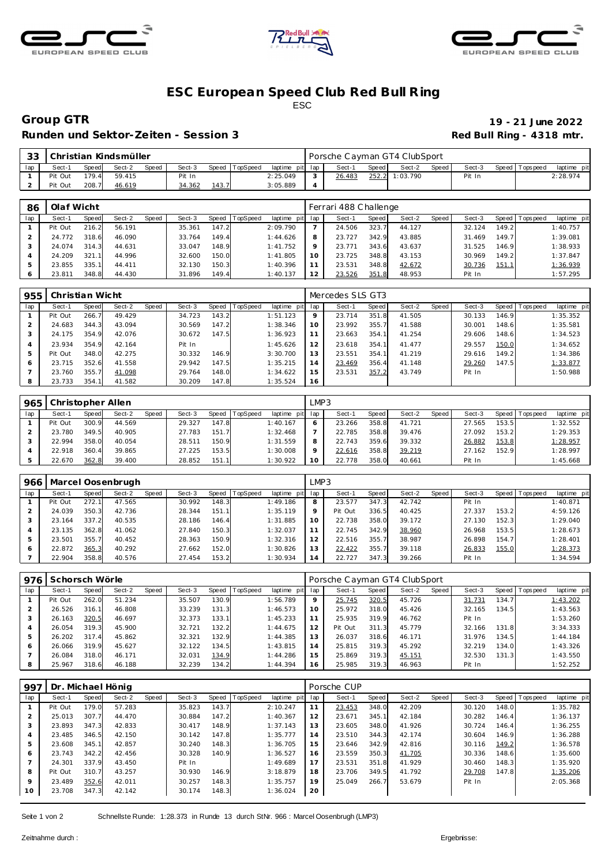





## **ESC European Speed C lub Red Bull R ing** ESC

Runden und Sektor-Zeiten - Session 3 **Runden und Sektor-Zeiten - Session 3 Red Bull Ring - 4318 mtr.** 

**Group GTR 19 - 21 June 2022**

| $\cap$ | Christian Kindsmüller |       |        |       |        |                |                |                 | Porsche Cayman GT4 ClubSport |        |       |                |       |        |  |                |             |  |
|--------|-----------------------|-------|--------|-------|--------|----------------|----------------|-----------------|------------------------------|--------|-------|----------------|-------|--------|--|----------------|-------------|--|
|        | Sect-                 | Speed | Sect-2 | Speed | Sect-3 |                | Speed TopSpeed | laptime pit lap |                              | Sect-  | Speed | Sect-2         | Speed | Sect-3 |  | Speed Topspeed | laptime pit |  |
|        | Pit Out               | 179.4 | 59.415 |       | Pit In |                |                | 2:25.049        |                              | 26.483 |       | 252.2 1:03.790 |       | Pit In |  |                | 2:28.974    |  |
|        | Pit Out               | 208.7 | 46.619 |       | 34.362 | <u> 143. i</u> |                | 3:05.889        |                              |        |       |                |       |        |  |                |             |  |

| 86  | Olaf Wicht |              |        |       |        |       |                |                 | Ferrari 488 Challenge |        |       |        |       |        |                    |                   |             |  |  |
|-----|------------|--------------|--------|-------|--------|-------|----------------|-----------------|-----------------------|--------|-------|--------|-------|--------|--------------------|-------------------|-------------|--|--|
| lap | Sect-1     | <b>Speed</b> | Sect-2 | Speed | Sect-3 |       | Speed TopSpeed | laptime pit lap |                       | Sect-1 | Speed | Sect-2 | Speed | Sect-3 |                    | Speed   Tops peed | laptime pit |  |  |
|     | Pit Out    | 216.2        | 56.191 |       | 35.361 | 147.2 |                | 2:09.790        |                       | 24.506 | 323.7 | 44.127 |       | 32.124 | 149.2              |                   | 1:40.757    |  |  |
|     | 24.772     | 318.6        | 46.090 |       | 33.764 | 149.4 |                | 1:44.626        |                       | 23.727 | 342.9 | 43.885 |       | 31.469 | 149.7 <sub>1</sub> |                   | 1:39.081    |  |  |
|     | 24.074     | 314.3        | 44.631 |       | 33.047 | 148.9 |                | 1:41.752        |                       | 23.771 | 343.6 | 43.637 |       | 31.525 | 146.9              |                   | 1:38.933    |  |  |
|     | 24.209     | 321.1        | 44.996 |       | 32.600 | 150.0 |                | 1:41.805        | 10                    | 23.725 | 348.8 | 43.153 |       | 30.969 | 149.2              |                   | 1:37.847    |  |  |
|     | 23.855     | 335.1        | 44.411 |       | 32.130 | 150.3 |                | 1:40.396        |                       | 23.531 | 348.8 | 42.672 |       | 30.736 | 151.1              |                   | 1:36.939    |  |  |
|     | 23.811     | 348.8        | 44.430 |       | 31.896 | 149.4 |                | 1:40.137        | 12                    | 23.526 | 351.8 | 48.953 |       | Pit In |                    |                   | 1:57.295    |  |  |

| 955 | Christian Wicht |       |        |       |        |       |          |             |         | Mercedes SLS GT3 |       |        |       |        |       |           |             |  |  |
|-----|-----------------|-------|--------|-------|--------|-------|----------|-------------|---------|------------------|-------|--------|-------|--------|-------|-----------|-------------|--|--|
| lap | Sect-1          | Speed | Sect-2 | Speed | Sect-3 | Speed | TopSpeed | laptime pit | lap     | Sect-1           | Speed | Sect-2 | Speed | Sect-3 | Speed | Tops peed | laptime pit |  |  |
|     | Pit Out         | 266.7 | 49.429 |       | 34.723 | 143.2 |          | 1:51.123    | $\circ$ | 23.714           | 351.8 | 41.505 |       | 30.133 | 146.9 |           | 1:35.352    |  |  |
|     | 24.683          | 344.3 | 43.094 |       | 30.569 | 147.2 |          | 1:38.346    | 10      | 23.992           | 355.7 | 41.588 |       | 30.001 | 148.6 |           | 1:35.581    |  |  |
| - 3 | 24.175          | 354.9 | 42.076 |       | 30.672 | 147.5 |          | 1:36.923    |         | 23.663           | 354.1 | 41.254 |       | 29.606 | 148.6 |           | 1:34.523    |  |  |
|     | 23.934          | 354.9 | 42.164 |       | Pit In |       |          | 1:45.626    | 12      | 23.618           | 354.1 | 41.477 |       | 29.557 | 150.0 |           | 1:34.652    |  |  |
| 5   | Pit Out         | 348.0 | 42.275 |       | 30.332 | 146.9 |          | 3:30.700    | . 3     | 23.551           | 354.1 | 41.219 |       | 29.616 | 149.2 |           | 1:34.386    |  |  |
| 6   | 23.715          | 352.6 | 41.558 |       | 29.942 | 147.5 |          | 1:35.215    | 14      | 23.469           | 356.4 | 41.148 |       | 29.260 | 147.5 |           | 1:33.877    |  |  |
|     | 23.760          | 355.7 | 41.098 |       | 29.764 | 148.0 |          | 1:34.622    | 15      | 23.531           | 357.2 | 43.749 |       | Pit In |       |           | 1:50.988    |  |  |
| 8   | 23.733          | 354.1 | 41.582 |       | 30.209 | 147.8 |          | 1:35.524    | 16      |                  |       |        |       |        |       |           |             |  |  |

| 965 | Christopher Allen |       |        |       |        |       |                 |                 |    | LMP3   |       |        |       |        |       |                   |             |  |  |  |
|-----|-------------------|-------|--------|-------|--------|-------|-----------------|-----------------|----|--------|-------|--------|-------|--------|-------|-------------------|-------------|--|--|--|
| lap | Sect-1            | Speed | Sect-2 | Speed | Sect-3 | Speed | <b>TopSpeed</b> | laptime pit lap |    | Sect-1 | Speed | Sect-2 | Speed | Sect-3 |       | Speed   Tops peed | laptime pit |  |  |  |
|     | Pit Out           | 300.9 | 44.569 |       | 29.327 | 147.8 |                 | 1:40.167        |    | 23.266 | 358.8 | 41.721 |       | 27.565 | 153.5 |                   | 1:32.552    |  |  |  |
|     | 23.780            | 349.5 | 40.905 |       | 27.783 | 151.7 |                 | 1:32.468        |    | 22.785 | 358.8 | 39.476 |       | 27.092 | 153.2 |                   | 1:29.353    |  |  |  |
|     | 22.994            | 358.0 | 40.054 |       | 28.511 | 150.9 |                 | 1:31.559        |    | 22.743 | 359.6 | 39.332 |       | 26.882 | 153.8 |                   | 1:28.957    |  |  |  |
|     | 22.918            | 360.4 | 39.865 |       | 27.225 | 153.5 |                 | 1:30.008        |    | 22.616 | 358.8 | 39.219 |       | 27.162 | 152.9 |                   | 1:28.997    |  |  |  |
|     | 22.670            | 362.8 | 39.400 |       | 28.852 | 151.1 |                 | 1:30.922        | 10 | 22.778 | 358.0 | 40.661 |       | Pit In |       |                   | 1:45.668    |  |  |  |

| 966 | Marcel Oosenbrugh |       |        |       |        |       |                 |             | LMP3           |         |       |        |       |        |       |                |             |  |
|-----|-------------------|-------|--------|-------|--------|-------|-----------------|-------------|----------------|---------|-------|--------|-------|--------|-------|----------------|-------------|--|
| lap | Sect-1            | Speed | Sect-2 | Speed | Sect-3 | Speed | <b>TopSpeed</b> | laptime pit | lap            | Sect-1  | Speed | Sect-2 | Speed | Sect-3 |       | Speed Topspeed | laptime pit |  |
|     | Pit Out           | 272.1 | 47.565 |       | 30.992 | 148.3 |                 | 1:49.186    | 8              | 23.577  | 347.3 | 42.742 |       | Pit In |       |                | 1:40.871    |  |
|     | 24.039            | 350.3 | 42.736 |       | 28.344 | 151.1 |                 | 1:35.119    | $\Omega$       | Pit Out | 336.5 | 40.425 |       | 27.337 | 153.2 |                | 4:59.126    |  |
|     | 23.164            | 337.2 | 40.535 |       | 28.186 | 146.4 |                 | 1:31.885    | 10             | 22.738  | 358.0 | 39.172 |       | 27.130 | 152.3 |                | 1:29.040    |  |
|     | 23.135            | 362.8 | 41.062 |       | 27.840 | 150.3 |                 | 1:32.037    |                | 22.745  | 342.9 | 38.960 |       | 26.968 | 153.5 |                | 1:28.673    |  |
| 5   | 23.501            | 355.7 | 40.452 |       | 28.363 | 150.9 |                 | 1:32.316    | $\overline{2}$ | 22.516  | 355.7 | 38.987 |       | 26.898 | 154.7 |                | 1:28.401    |  |
| 6   | 22.872            | 365.3 | 40.292 |       | 27.662 | 152.0 |                 | 1:30.826    | 3              | 22.422  | 355.7 | 39.118 |       | 26.833 | 155.0 |                | 1:28.373    |  |
|     | 22.904            | 358.8 | 40.576 |       | 27.454 | 153.2 |                 | 1:30.934    | $\overline{A}$ | 22.727  | 347.3 | 39.266 |       | Pit In |       |                | 1:34.594    |  |

| 976 | Schorsch Wörle |              |        |       |        |         |                 |             | Porsche Cayman GT4 ClubSport |         |       |        |       |        |       |                 |             |  |
|-----|----------------|--------------|--------|-------|--------|---------|-----------------|-------------|------------------------------|---------|-------|--------|-------|--------|-------|-----------------|-------------|--|
| lap | Sect-1         | <b>Speed</b> | Sect-2 | Speed | Sect-3 | Speed T | <b>TopSpeed</b> | laptime pit | lap                          | Sect-1  | Speed | Sect-2 | Speed | Sect-3 |       | Speed Tops peed | laptime pit |  |
|     | Pit Out        | 262.0        | 51.234 |       | 35.507 | 130.9   |                 | 1:56.789    | 9                            | 25.745  | 320.5 | 45.726 |       | 31.731 | 134.7 |                 | 1:43.202    |  |
|     | 26.526         | 316.1        | 46.808 |       | 33.239 | 131.3   |                 | 1:46.573    | 10                           | 25.972  | 318.0 | 45.426 |       | 32.165 | 134.5 |                 | 1:43.563    |  |
|     | 26.163         | 320.5        | 46.697 |       | 32.373 | 133.1   |                 | 1:45.233    |                              | 25.935  | 319.9 | 46.762 |       | Pit In |       |                 | 1:53.260    |  |
|     | 26.054         | 319.3        | 45.900 |       | 32.721 | 132.2   |                 | 1:44.675    |                              | Pit Out | 311.3 | 45.779 |       | 32.166 | 131.8 |                 | 3:34.333    |  |
|     | 26.202         | 317.4        | 45.862 |       | 32.321 | 132.9   |                 | 1:44.385    | 13                           | 26.037  | 318.6 | 46.171 |       | 31.976 | 134.5 |                 | 1:44.184    |  |
| 6   | 26.066         | 319.9        | 45.627 |       | 32.122 | 134.5   |                 | 1:43.815    | 14                           | 25.815  | 319.3 | 45.292 |       | 32.219 | 134.0 |                 | 1:43.326    |  |
|     | 26.084         | 318.0        | 46.171 |       | 32.031 | 134.9   |                 | 1:44.286    | 15                           | 25.869  | 319.3 | 45.151 |       | 32.530 | 131.3 |                 | 1:43.550    |  |
| 8   | 25.967         | 318.6        | 46.188 |       | 32.239 | 134.2   |                 | 1:44.394    | 16                           | 25.985  | 319.3 | 46.963 |       | Pit In |       |                 | 1:52.252    |  |

| 997            | Dr. Michael Hönig |       |        |       |        |       |                 |             |     | Porsche CUP |       |        |       |        |       |                 |             |  |  |
|----------------|-------------------|-------|--------|-------|--------|-------|-----------------|-------------|-----|-------------|-------|--------|-------|--------|-------|-----------------|-------------|--|--|
| lap            | Sect-1            | Speed | Sect-2 | Speed | Sect-3 | Speed | <b>TopSpeed</b> | laptime pit | lap | Sect-1      | Speed | Sect-2 | Speed | Sect-3 |       | Speed Tops peed | laptime pit |  |  |
|                | Pit Out           | 179.0 | 57.283 |       | 35.823 | 143.7 |                 | 2:10.247    |     | 23.453      | 348.0 | 42.209 |       | 30.120 | 148.0 |                 | 1:35.782    |  |  |
| $\overline{2}$ | 25.013            | 307.7 | 44.470 |       | 30.884 | 147.2 |                 | 1:40.367    | 12  | 23.671      | 345.1 | 42.184 |       | 30.282 | 146.4 |                 | 1:36.137    |  |  |
| 3              | 23.893            | 347.3 | 42.833 |       | 30.417 | 148.9 |                 | 1:37.143    | 13  | 23.605      | 348.0 | 41.926 |       | 30.724 | 146.4 |                 | 1:36.255    |  |  |
| 4              | 23.485            | 346.5 | 42.150 |       | 30.142 | 147.8 |                 | 1:35.777    | 14  | 23.510      | 344.3 | 42.174 |       | 30.604 | 146.9 |                 | 1:36.288    |  |  |
| 5              | 23.608            | 345.1 | 42.857 |       | 30.240 | 148.3 |                 | 1:36.705    | 15  | 23.646      | 342.9 | 42.816 |       | 30.116 | 149.2 |                 | 1:36.578    |  |  |
| 6              | 23.743            | 342.2 | 42.456 |       | 30.328 | 140.9 |                 | 1:36.527    | 16  | 23.559      | 350.3 | 41.705 |       | 30.336 | 148.6 |                 | 1:35.600    |  |  |
|                | 24.301            | 337.9 | 43.450 |       | Pit In |       |                 | 1:49.689    | 17  | 23.531      | 351.8 | 41.929 |       | 30.460 | 148.3 |                 | 1:35.920    |  |  |
| 8              | Pit Out           | 310.7 | 43.257 |       | 30.930 | 146.9 |                 | 3:18.879    | 18  | 23.706      | 349.5 | 41.792 |       | 29.708 | 147.8 |                 | 1:35.206    |  |  |
| 9              | 23.489            | 352.6 | 42.011 |       | 30.257 | 148.3 |                 | 1:35.757    | 19  | 25.049      | 266.7 | 53.679 |       | Pit In |       |                 | 2:05.368    |  |  |
| 10             | 23.708            | 347.3 | 42.142 |       | 30.174 | 148.3 |                 | 1:36.024    | 20  |             |       |        |       |        |       |                 |             |  |  |